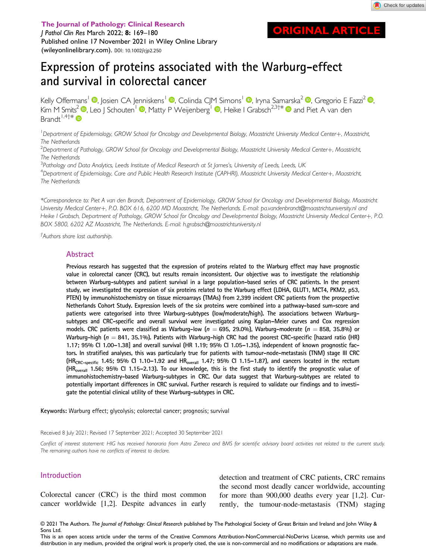**RIGINAL ARTICLE** 

The Journal of Pathology: Clinical Research J Pathol Clin Res March 2022; 8: <sup>169</sup>–<sup>180</sup> Published online 17 November 2021 in Wiley Online Library ([wileyonlinelibrary.com\)](http://wileyonlinelibrary.com). DOI: 10.1002/cjp2.250

# Expression of proteins associated with the Warburg-effect and survival in colorectal cancer

Kelly Offermans<sup>1</sup> <sup>(D</sup>[,](https://orcid.org/0000-0003-4092-0672) Josien CA Jenniskens<sup>1</sup> <sup>(D</sup>, Colinda CJM Simons<sup>1</sup> <sup>(D</sup>, Iryna Samarska<sup>2</sup> <sup>(D</sup>, Gregorio E Fazzi<sup>2</sup> (D, Kim M Smits<sup>2</sup>  $\bullet$ [,](https://orcid.org/0000-0003-3361-7560) Leo J Schouten<sup>1</sup>  $\bullet$ , Matty P Weijenberg<sup>1</sup>  $\bullet$ , Heike I Grabsch<sup>2,3†\*</sup>  $\bullet$  and Piet A van den Brandt  $1,4$ †\*  $\bullet$ 

<sup>1</sup>Department of Epidemiology, GROW School for Oncology and Developmental Biology, Maastricht University Medical Center+, Maastricht, The Netherlands

 $^2$ Department of Pathology, GROW School for Oncology and Developmental Biology, Maastricht University Medical Center+, Maastricht, The Netherlands

<sup>3</sup>Pathology and Data Analytics, Leeds Institute of Medical Research at St James's, University of Leeds, Leeds, UK<br><sup>4</sup>Dehartment of Ehidemiology, Care and Public Health Research Institute (CAPHRI), Maastricht University Me

<sup>4</sup>Department of Epidemiology, Care and Public Health Research Institute (CAPHRI), Maastricht University Medical Center+, Maastricht, The Netherlands

\*Correspondence to: Piet A van den Brandt, Department of Epidemiology, GROW School for Oncology and Developmental Biology, Maastricht University Medical Center+, P.O. BOX 616, 6200 MD Maastricht, The Netherlands. E-mail: [pa.vandenbrandt@maastrichtuniversity.nl](mailto:pa.vandenbrandt@maastrichtuniversity.nl) and Heike I Grabsch, Department of Pathology, GROW School for Oncology and Developmental Biology, Maastricht University Medical Center+, P.O. BOX 5800, 6202 AZ Maastricht, The Netherlands. E-mail: [h.grabsch@maastrichtuniversity.nl](mailto:h.grabsch@maastrichtuniversity.nl)

† Authors share last authorship.

#### Abstract

Previous research has suggested that the expression of proteins related to the Warburg effect may have prognostic value in colorectal cancer (CRC), but results remain inconsistent. Our objective was to investigate the relationship between Warburg-subtypes and patient survival in a large population-based series of CRC patients. In the present study, we investigated the expression of six proteins related to the Warburg effect (LDHA, GLUT1, MCT4, PKM2, p53, PTEN) by immunohistochemistry on tissue microarrays (TMAs) from 2,399 incident CRC patients from the prospective Netherlands Cohort Study. Expression levels of the six proteins were combined into a pathway-based sum-score and patients were categorised into three Warburg-subtypes (low/moderate/high). The associations between Warburgsubtypes and CRC-specific and overall survival were investigated using Kaplan–Meier curves and Cox regression models. CRC patients were classified as Warburg-low ( $n = 695$ , 29.0%), Warburg-moderate ( $n = 858$ , 35.8%) or Warburg-high ( $n = 841$ , 35.1%). Patients with Warburg-high CRC had the poorest CRC-specific [hazard ratio (HR) 1.17; 95% CI 1.00–1.38] and overall survival (HR 1.19; 95% CI 1.05–1.35), independent of known prognostic factors. In stratified analyses, this was particularly true for patients with tumour-node-metastasis (TNM) stage III CRC (HR<sub>CRC-specific</sub> 1.45; 95% Cl 1.10-1.92 and HR<sub>overall</sub> 1.47; 95% Cl 1.15-1.87), and cancers located in the rectum  $(HR_{\text{overall}}\;1.56; 95\% \;Cl\;1.15-2.13)$ . To our knowledge, this is the first study to identify the prognostic value of immunohistochemistry-based Warburg-subtypes in CRC. Our data suggest that Warburg-subtypes are related to potentially important differences in CRC survival. Further research is required to validate our findings and to investigate the potential clinical utility of these Warburg-subtypes in CRC.

Keywords: Warburg effect; glycolysis; colorectal cancer; prognosis; survival

Received 8 July 2021; Revised 17 September 2021; Accepted 30 September 2021

Conflict of interest statement: HIG has received honoraria from Astra Zeneca and BMS for scientific advisory board activities not related to the current study. The remaining authors have no conflicts of interest to declare.

#### Introduction

Colorectal cancer (CRC) is the third most common cancer worldwide [1,2]. Despite advances in early

detection and treatment of CRC patients, CRC remains the second most deadly cancer worldwide, accounting for more than 900,000 deaths every year [1,2]. Currently, the tumour-node-metastasis (TNM) staging

© 2021 The Authors. The Journal of Pathology: Clinical Research published by The Pathological Society of Great Britain and Ireland and John Wiley & Sons Ltd.

This is an open access article under the terms of the [Creative Commons Attribution-NonCommercial-NoDerivs](http://creativecommons.org/licenses/by-nc-nd/4.0/) License, which permits use and distribution in any medium, provided the original work is properly cited, the use is non-commercial and no modifications or adaptations are made.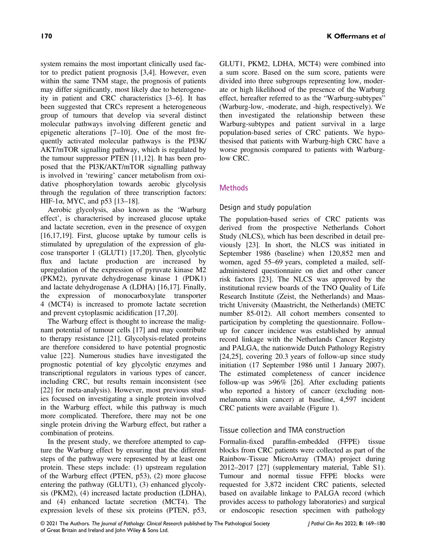system remains the most important clinically used factor to predict patient prognosis [3,4]. However, even within the same TNM stage, the prognosis of patients may differ significantly, most likely due to heterogeneity in patient and CRC characteristics [3–6]. It has been suggested that CRCs represent a heterogeneous group of tumours that develop via several distinct molecular pathways involving different genetic and epigenetic alterations [7–10]. One of the most frequently activated molecular pathways is the PI3K/ AKT/mTOR signalling pathway, which is regulated by the tumour suppressor PTEN [11,12]. It has been proposed that the PI3K/AKT/mTOR signalling pathway is involved in 'rewiring' cancer metabolism from oxidative phosphorylation towards aerobic glycolysis through the regulation of three transcription factors: HIF-1α, MYC, and p53 [13-18].

Aerobic glycolysis, also known as the 'Warburg effect', is characterised by increased glucose uptake and lactate secretion, even in the presence of oxygen [16,17,19]. First, glucose uptake by tumour cells is stimulated by upregulation of the expression of glucose transporter 1 (GLUT1) [17,20]. Then, glycolytic flux and lactate production are increased by upregulation of the expression of pyruvate kinase M2 (PKM2), pyruvate dehydrogenase kinase 1 (PDK1) and lactate dehydrogenase A (LDHA) [16,17]. Finally, the expression of monocarboxylate transporter 4 (MCT4) is increased to promote lactate secretion and prevent cytoplasmic acidification [17,20].

The Warburg effect is thought to increase the malignant potential of tumour cells [17] and may contribute to therapy resistance [21]. Glycolysis-related proteins are therefore considered to have potential prognostic value [22]. Numerous studies have investigated the prognostic potential of key glycolytic enzymes and transcriptional regulators in various types of cancer, including CRC, but results remain inconsistent (see [22] for meta-analysis). However, most previous studies focused on investigating a single protein involved in the Warburg effect, while this pathway is much more complicated. Therefore, there may not be one single protein driving the Warburg effect, but rather a combination of proteins.

In the present study, we therefore attempted to capture the Warburg effect by ensuring that the different steps of the pathway were represented by at least one protein. These steps include: (1) upstream regulation of the Warburg effect (PTEN, p53), (2) more glucose entering the pathway (GLUT1), (3) enhanced glycolysis (PKM2), (4) increased lactate production (LDHA), and (4) enhanced lactate secretion (MCT4). The expression levels of these six proteins (PTEN, p53,

GLUT1, PKM2, LDHA, MCT4) were combined into a sum score. Based on the sum score, patients were divided into three subgroups representing low, moderate or high likelihood of the presence of the Warburg effect, hereafter referred to as the "Warburg-subtypes" (Warburg-low, -moderate, and -high, respectively). We then investigated the relationship between these Warburg-subtypes and patient survival in a large population-based series of CRC patients. We hypothesised that patients with Warburg-high CRC have a worse prognosis compared to patients with Warburglow CRC.

# **Methods**

## Design and study population

The population-based series of CRC patients was derived from the prospective Netherlands Cohort Study (NLCS), which has been described in detail previously [23]. In short, the NLCS was initiated in September 1986 (baseline) when 120,852 men and women, aged 55–69 years, completed a mailed, selfadministered questionnaire on diet and other cancer risk factors [23]. The NLCS was approved by the institutional review boards of the TNO Quality of Life Research Institute (Zeist, the Netherlands) and Maastricht University (Maastricht, the Netherlands) (METC number 85-012). All cohort members consented to participation by completing the questionnaire. Followup for cancer incidence was established by annual record linkage with the Netherlands Cancer Registry and PALGA, the nationwide Dutch Pathology Registry [24,25], covering 20.3 years of follow-up since study initiation (17 September 1986 until 1 January 2007). The estimated completeness of cancer incidence follow-up was >96% [26]. After excluding patients who reported a history of cancer (excluding nonmelanoma skin cancer) at baseline, 4,597 incident CRC patients were available (Figure 1).

## Tissue collection and TMA construction

Formalin-fixed paraffin-embedded (FFPE) tissue blocks from CRC patients were collected as part of the Rainbow-Tissue MicroArray (TMA) project during 2012–2017 [27] (supplementary material, Table S1). Tumour and normal tissue FFPE blocks were requested for 3,872 incident CRC patients, selected based on available linkage to PALGA record (which provides access to pathology laboratories) and surgical or endoscopic resection specimen with pathology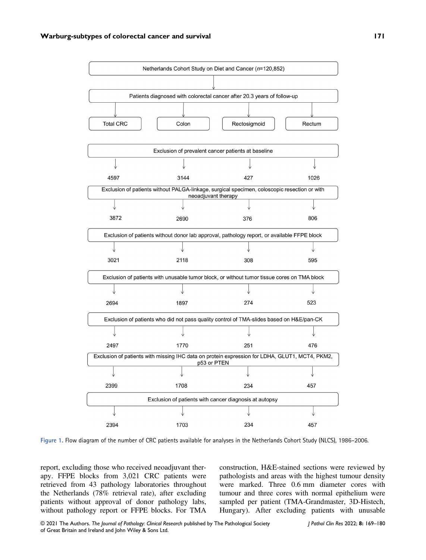

Figure 1. Flow diagram of the number of CRC patients available for analyses in the Netherlands Cohort Study (NLCS), 1986–2006.

report, excluding those who received neoadjuvant therapy. FFPE blocks from 3,021 CRC patients were retrieved from 43 pathology laboratories throughout the Netherlands (78% retrieval rate), after excluding patients without approval of donor pathology labs, without pathology report or FFPE blocks. For TMA

construction, H&E-stained sections were reviewed by pathologists and areas with the highest tumour density were marked. Three 0.6 mm diameter cores with tumour and three cores with normal epithelium were sampled per patient (TMA-Grandmaster, 3D-Histech, Hungary). After excluding patients with unusable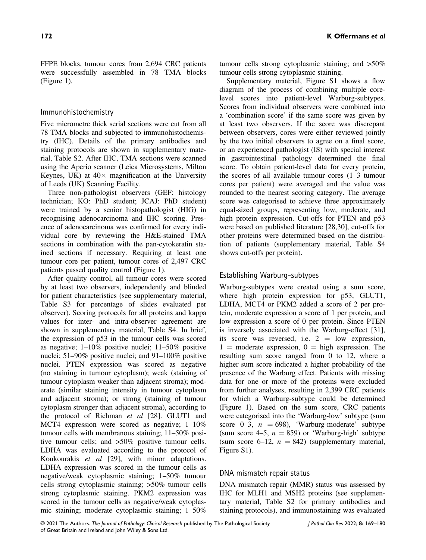FFPE blocks, tumour cores from 2,694 CRC patients were successfully assembled in 78 TMA blocks (Figure 1).

#### Immunohistochemistry

Five micrometre thick serial sections were cut from all 78 TMA blocks and subjected to immunohistochemistry (IHC). Details of the primary antibodies and staining protocols are shown in supplementary material, Table S2. After IHC, TMA sections were scanned using the Aperio scanner (Leica Microsystems, Milton Keynes, UK) at  $40 \times$  magnification at the University of Leeds (UK) Scanning Facility.

Three non-pathologist observers (GEF: histology technician; KO: PhD student; JCAJ: PhD student) were trained by a senior histopathologist (HIG) in recognising adenocarcinoma and IHC scoring. Presence of adenocarcinoma was confirmed for every individual core by reviewing the H&E-stained TMA sections in combination with the pan-cytokeratin stained sections if necessary. Requiring at least one tumour core per patient, tumour cores of 2,497 CRC patients passed quality control (Figure 1).

After quality control, all tumour cores were scored by at least two observers, independently and blinded for patient characteristics (see supplementary material, Table S3 for percentage of slides evaluated per observer). Scoring protocols for all proteins and kappa values for inter- and intra-observer agreement are shown in supplementary material, Table S4. In brief, the expression of p53 in the tumour cells was scored as negative; 1–10% positive nuclei; 11–50% positive nuclei; 51–90% positive nuclei; and 91–100% positive nuclei. PTEN expression was scored as negative (no staining in tumour cytoplasm); weak (staining of tumour cytoplasm weaker than adjacent stroma); moderate (similar staining intensity in tumour cytoplasm and adjacent stroma); or strong (staining of tumour cytoplasm stronger than adjacent stroma), according to the protocol of Richman et al [28]. GLUT1 and MCT4 expression were scored as negative; 1–10% tumour cells with membranous staining; 11–50% positive tumour cells; and >50% positive tumour cells. LDHA was evaluated according to the protocol of Koukourakis et al [29], with minor adaptations. LDHA expression was scored in the tumour cells as negative/weak cytoplasmic staining; 1–50% tumour cells strong cytoplasmic staining; >50% tumour cells strong cytoplasmic staining. PKM2 expression was scored in the tumour cells as negative/weak cytoplasmic staining; moderate cytoplasmic staining; 1–50%

tumour cells strong cytoplasmic staining; and >50% tumour cells strong cytoplasmic staining.

Supplementary material, Figure S1 shows a flow diagram of the process of combining multiple corelevel scores into patient-level Warburg-subtypes. Scores from individual observers were combined into a 'combination score' if the same score was given by at least two observers. If the score was discrepant between observers, cores were either reviewed jointly by the two initial observers to agree on a final score, or an experienced pathologist (IS) with special interest in gastrointestinal pathology determined the final score. To obtain patient-level data for every protein, the scores of all available tumour cores (1–3 tumour cores per patient) were averaged and the value was rounded to the nearest scoring category. The average score was categorised to achieve three approximately equal-sized groups, representing low, moderate, and high protein expression. Cut-offs for PTEN and p53 were based on published literature [28,30], cut-offs for other proteins were determined based on the distribution of patients (supplementary material, Table S4 shows cut-offs per protein).

## Establishing Warburg-subtypes

Warburg-subtypes were created using a sum score, where high protein expression for p53, GLUT1, LDHA, MCT4 or PKM2 added a score of 2 per protein, moderate expression a score of 1 per protein, and low expression a score of 0 per protein. Since PTEN is inversely associated with the Warburg-effect [31], its score was reversed, i.e.  $2 = \text{low expression}$ ,  $1 =$  moderate expression,  $0 =$  high expression. The resulting sum score ranged from 0 to 12, where a higher sum score indicated a higher probability of the presence of the Warburg effect. Patients with missing data for one or more of the proteins were excluded from further analyses, resulting in 2,399 CRC patients for which a Warburg-subtype could be determined (Figure 1). Based on the sum score, CRC patients were categorised into the 'Warburg-low' subtype (sum score 0–3,  $n = 698$ ), 'Warburg-moderate' subtype (sum score 4–5,  $n = 859$ ) or 'Warburg-high' subtype (sum score 6–12,  $n = 842$ ) (supplementary material, Figure S1).

#### DNA mismatch repair status

DNA mismatch repair (MMR) status was assessed by IHC for MLH1 and MSH2 proteins (see supplementary material, Table S2 for primary antibodies and staining protocols), and immunostaining was evaluated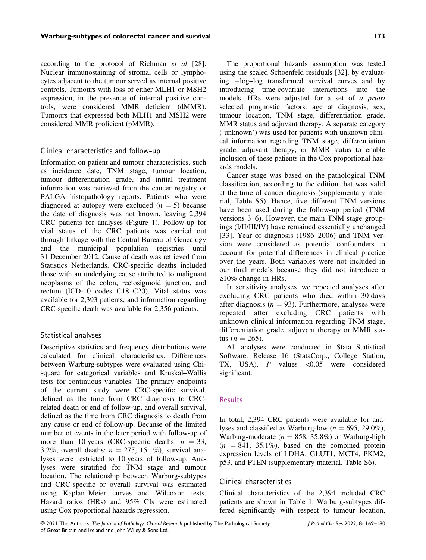according to the protocol of Richman et al [28]. Nuclear immunostaining of stromal cells or lymphocytes adjacent to the tumour served as internal positive controls. Tumours with loss of either MLH1 or MSH2 expression, in the presence of internal positive controls, were considered MMR deficient (dMMR). Tumours that expressed both MLH1 and MSH2 were considered MMR proficient (pMMR).

#### Clinical characteristics and follow-up

Information on patient and tumour characteristics, such as incidence date, TNM stage, tumour location, tumour differentiation grade, and initial treatment information was retrieved from the cancer registry or PALGA histopathology reports. Patients who were diagnosed at autopsy were excluded  $(n = 5)$  because the date of diagnosis was not known, leaving 2,394 CRC patients for analyses (Figure 1). Follow-up for vital status of the CRC patients was carried out through linkage with the Central Bureau of Genealogy and the municipal population registries until 31 December 2012. Cause of death was retrieved from Statistics Netherlands. CRC-specific deaths included those with an underlying cause attributed to malignant neoplasms of the colon, rectosigmoid junction, and rectum (ICD-10 codes C18–C20). Vital status was available for 2,393 patients, and information regarding CRC-specific death was available for 2,356 patients.

#### Statistical analyses

Descriptive statistics and frequency distributions were calculated for clinical characteristics. Differences between Warburg-subtypes were evaluated using Chisquare for categorical variables and Kruskal–Wallis tests for continuous variables. The primary endpoints of the current study were CRC-specific survival, defined as the time from CRC diagnosis to CRCrelated death or end of follow-up, and overall survival, defined as the time from CRC diagnosis to death from any cause or end of follow-up. Because of the limited number of events in the later period with follow-up of more than 10 years (CRC-specific deaths:  $n = 33$ , 3.2%; overall deaths:  $n = 275$ , 15.1%), survival analyses were restricted to 10 years of follow-up. Analyses were stratified for TNM stage and tumour location. The relationship between Warburg-subtypes and CRC-specific or overall survival was estimated using Kaplan–Meier curves and Wilcoxon tests. Hazard ratios (HRs) and 95% CIs were estimated using Cox proportional hazards regression.

The proportional hazards assumption was tested using the scaled Schoenfeld residuals [32], by evaluating  $-\log$ -log–log transformed survival curves and by introducing time-covariate interactions into the models. HRs were adjusted for a set of a priori selected prognostic factors: age at diagnosis, sex, tumour location, TNM stage, differentiation grade, MMR status and adjuvant therapy. A separate category ('unknown') was used for patients with unknown clinical information regarding TNM stage, differentiation grade, adjuvant therapy, or MMR status to enable inclusion of these patients in the Cox proportional hazards models.

Cancer stage was based on the pathological TNM classification, according to the edition that was valid at the time of cancer diagnosis (supplementary material, Table S5). Hence, five different TNM versions have been used during the follow-up period (TNM versions 3–6). However, the main TNM stage groupings (I/II/III/IV) have remained essentially unchanged [33]. Year of diagnosis (1986–2006) and TNM version were considered as potential confounders to account for potential differences in clinical practice over the years. Both variables were not included in our final models because they did not introduce a ≥10% change in HRs.

In sensitivity analyses, we repeated analyses after excluding CRC patients who died within 30 days after diagnosis ( $n = 93$ ). Furthermore, analyses were repeated after excluding CRC patients with unknown clinical information regarding TNM stage, differentiation grade, adjuvant therapy or MMR status (*n* = 265).

All analyses were conducted in Stata Statistical Software: Release 16 (StataCorp., College Station, TX, USA).  $P$  values <0.05 were considered significant.

#### **Results**

In total, 2,394 CRC patients were available for analyses and classified as Warburg-low ( $n = 695, 29.0\%$ ), Warburg-moderate ( $n = 858, 35.8\%$ ) or Warburg-high  $(n = 841, 35.1\%)$ , based on the combined protein expression levels of LDHA, GLUT1, MCT4, PKM2, p53, and PTEN (supplementary material, Table S6).

## Clinical characteristics

Clinical characteristics of the 2,394 included CRC patients are shown in Table 1. Warburg-subtypes differed significantly with respect to tumour location,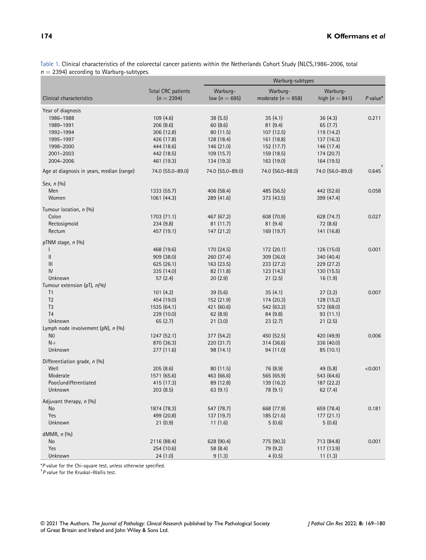Table 1. Clinical characteristics of the colorectal cancer patients within the Netherlands Cohort Study (NLCS,1986–2006, total  $n = 2394$ ) according to Warburg-subtypes.

|                                           |                                    | Warburg-subtypes            |                                    |                              |            |  |
|-------------------------------------------|------------------------------------|-----------------------------|------------------------------------|------------------------------|------------|--|
| Clinical characteristics                  | Total CRC patients<br>$(n = 2394)$ | Warburg-<br>low $(n = 695)$ | Warburg-<br>moderate ( $n = 858$ ) | Warburg-<br>high $(n = 841)$ | $P$ value* |  |
| Year of diagnosis                         |                                    |                             |                                    |                              |            |  |
| 1986-1988                                 | 109(4.6)                           | 38(5.5)                     | 35(4.1)                            | 36(4.3)                      | 0.211      |  |
| 1989-1991                                 | 206(8.6)                           | 60(8.6)                     | 81(9.4)                            | 65(7.7)                      |            |  |
| 1992-1994                                 | 306 (12.8)                         | 80 (11.5)                   | 107(12.5)                          | 119 (14.2)                   |            |  |
| 1995-1997                                 | 426 (17.8)                         | 128 (18.4)                  | 161 (18.8)                         | 137 (16.3)                   |            |  |
| 1998-2000                                 | 444 (18.6)                         | 146 (21.0)                  | 152 (17.7)                         | 146 (17.4)                   |            |  |
| 2001-2003                                 | 442 (18.5)                         | 109(15.7)                   | 159 (18.5)                         | 174 (20.7)                   |            |  |
| 2004-2006                                 | 461 (19.3)                         | 134 (19.3)                  | 163 (19.0)                         | 164 (19.5)                   |            |  |
| Age at diagnosis in years, median (range) | 74.0 (55.0-89.0)                   | 74.0 (55.0-89.0)            | 74.0 (56.0-88.0)                   | 74.0 (56.0-89.0)             | 0.645      |  |
| Sex, $n$ $(\%)$                           |                                    |                             |                                    |                              |            |  |
| Men                                       | 1333 (55.7)                        | 406 (58.4)                  | 485 (56.5)                         | 442 (52.6)                   | 0.058      |  |
| Women                                     | 1061 (44.3)                        | 289 (41.6)                  | 373 (43.5)                         | 399 (47.4)                   |            |  |
| Tumour location, n (%)                    |                                    |                             |                                    |                              |            |  |
| Colon                                     | 1703 (71.1)                        | 467 (67.2)                  | 608 (70.9)                         | 628 (74.7)                   | 0.027      |  |
| Rectosigmoid                              | 234(9.8)                           | 81(11.7)                    | 81(9.4)                            | 72 (8.6)                     |            |  |
| Rectum                                    | 457 (19.1)                         | 147 (21.2)                  | 169 (19.7)                         | 141 (16.8)                   |            |  |
| pTNM stage, $n$ (%)                       |                                    |                             |                                    |                              |            |  |
|                                           | 468 (19.6)                         | 170 (24.5)                  | 172 (20.1)                         | 126 (15.0)                   | 0.001      |  |
| Ш                                         | 909 (38.0)                         | 260 (37.4)                  | 309 (36.0)                         | 340 (40.4)                   |            |  |
| III                                       | 625(26.1)                          | 163 (23.5)                  | 233 (27.2)                         | 229 (27.2)                   |            |  |
| IV                                        | 335 (14.0)                         | 82 (11.8)                   | 123 (14.3)                         | 130 (15.5)                   |            |  |
| Unknown                                   | 57(2.4)                            | 20(2.9)                     | 21(2.5)                            | 16(1.9)                      |            |  |
| Tumour extension (pT), n(%)               |                                    |                             |                                    |                              |            |  |
| T <sub>1</sub>                            | 101(4.2)                           | 39(5.6)                     | 35(4.1)                            | 27(3.2)                      | 0.007      |  |
| T <sub>2</sub>                            | 454 (19.0)                         | 152 (21.9)                  | 174 (20.3)                         | 128 (15.2)                   |            |  |
| T <sub>3</sub>                            | 1535 (64.1)                        | 421 (60.6)                  | 542 (63.2)                         | 572 (68.0)                   |            |  |
| T <sub>4</sub>                            | 239 (10.0)                         | 62(8.9)                     | 84 (9.8)                           | 93(11.1)                     |            |  |
| Unknown                                   | 65(2.7)                            | 21(3.0)                     | 23(2.7)                            | 21(2.5)                      |            |  |
| Lymph node involvement (pN), n (%)        |                                    |                             |                                    |                              |            |  |
| N <sub>0</sub>                            | 1247 (52.1)                        | 377 (54.2)                  | 450 (52.5)                         | 420 (49.9)                   | 0.006      |  |
| $N+$                                      | 870 (36.3)                         | 220 (31.7)                  | 314 (36.6)                         | 336 (40.0)                   |            |  |
| Unknown                                   | 277 (11.6)                         | 98 (14.1)                   | 94 (11.0)                          | 85(10.1)                     |            |  |
| Differentiation grade, n (%)              |                                    |                             |                                    |                              |            |  |
| Well                                      | 205(8.6)                           | 80 (11.5)                   | 76 (8.9)                           | 49 (5.8)                     | < 0.001    |  |
| Moderate                                  | 1571 (65.6)                        | 463 (66.6)                  | 565 (65.9)                         | 543 (64.6)                   |            |  |
| Poor/undifferentiated<br>Unknown          | 415 (17.3)                         | 89 (12.8)                   | 139 (16.2)                         | 187 (22.2)                   |            |  |
|                                           | 203(8.5)                           | 63(9.1)                     | 78 (9.1)                           | 62 (7.4)                     |            |  |
| Adjuvant therapy, n (%)                   |                                    |                             |                                    |                              |            |  |
| No                                        | 1874 (78.3)                        | 547 (78.7)                  | 668 (77.9)                         | 659 (78.4)                   | 0.181      |  |
| Yes                                       | 499 (20.8)                         | 137 (19.7)                  | 185 (21.6)                         | 177 (21.1)                   |            |  |
| Unknown                                   | 21(0.9)                            | 11(1.6)                     | 5(0.6)                             | 5(0.6)                       |            |  |
| dMMR, n (%)                               |                                    |                             |                                    |                              |            |  |
| No                                        | 2116 (88.4)                        | 628 (90.4)                  | 775 (90.3)                         | 713 (84.8)                   | 0.001      |  |
| Yes                                       | 254 (10.6)                         | 58 (8.4)                    | 79 (9.2)                           | 117 (13.9)                   |            |  |
| Unknown                                   | 24(1.0)                            | 9(1.3)                      | 4(0.5)                             | 11(1.3)                      |            |  |

\*<sup>P</sup> value for the Chi-square test, unless otherwise specified. †

 $P$  value for the Kruskal–Wallis test.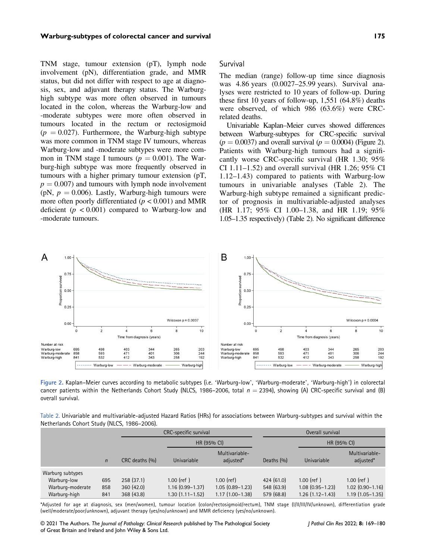TNM stage, tumour extension (pT), lymph node involvement (pN), differentiation grade, and MMR status, but did not differ with respect to age at diagnosis, sex, and adjuvant therapy status. The Warburghigh subtype was more often observed in tumours located in the colon, whereas the Warburg-low and -moderate subtypes were more often observed in tumours located in the rectum or rectosigmoid  $(p = 0.027)$ . Furthermore, the Warburg-high subtype was more common in TNM stage IV tumours, whereas Warburg-low and -moderate subtypes were more common in TNM stage I tumours ( $p = 0.001$ ). The Warburg-high subtype was more frequently observed in tumours with a higher primary tumour extension (pT,  $p = 0.007$ ) and tumours with lymph node involvement (pN,  $p = 0.006$ ). Lastly, Warburg-high tumours were more often poorly differentiated ( $p < 0.001$ ) and MMR deficient ( $p < 0.001$ ) compared to Warburg-low and -moderate tumours.

#### Survival

The median (range) follow-up time since diagnosis was 4.86 years (0.0027–25.99 years). Survival analyses were restricted to 10 years of follow-up. During these first 10 years of follow-up, 1,551 (64.8%) deaths were observed, of which 986 (63.6%) were CRCrelated deaths.

Univariable Kaplan–Meier curves showed differences between Warburg-subtypes for CRC-specific survival  $(p = 0.0037)$  and overall survival  $(p = 0.0004)$  (Figure 2). Patients with Warburg-high tumours had a significantly worse CRC-specific survival (HR 1.30; 95% CI  $1.11-1.52$ ) and overall survival (HR  $1.26$ ; 95% CI 1.12–1.43) compared to patients with Warburg-low tumours in univariable analyses (Table 2). The Warburg-high subtype remained a significant predictor of prognosis in multivariable-adjusted analyses (HR 1.17; 95% CI 1.00–1.38, and HR 1.19; 95% 1.05–1.35 respectively) (Table 2). No significant difference



Figure 2. Kaplan–Meier curves according to metabolic subtypes (i.e. 'Warburg-low', 'Warburg-moderate', 'Warburg-high') in colorectal cancer patients within the Netherlands Cohort Study (NLCS, 1986–2006, total  $n = 2394$ ), showing (A) CRC-specific survival and (B) overall survival.

| Table 2. Univariable and multivariable-adjusted Hazard Ratios (HRs) for associations between Warburg-subtypes and survival within the |  |
|---------------------------------------------------------------------------------------------------------------------------------------|--|
| Netherlands Cohort Study (NLCS, 1986-2006).                                                                                           |  |

|                                                                     |                   | CRC-specific survival               |                                                            |                                                          | Overall survival                      |                                                               |                                                               |
|---------------------------------------------------------------------|-------------------|-------------------------------------|------------------------------------------------------------|----------------------------------------------------------|---------------------------------------|---------------------------------------------------------------|---------------------------------------------------------------|
|                                                                     |                   |                                     | HR (95% CI)                                                |                                                          |                                       | HR (95% CI)                                                   |                                                               |
|                                                                     | $\mathsf{n}$      | CRC deaths (%)                      | Univariable                                                | Multivariable-<br>adjusted*                              | Deaths $(9)$                          | Univariable                                                   | Multivariable-<br>adjusted*                                   |
| Warburg subtypes<br>Warburg-low<br>Warburg-moderate<br>Warburg-high | 695<br>858<br>841 | 258(37.1)<br>360(42.0)<br>368(43.8) | $1.00$ (ref)<br>$1.16(0.99 - 1.37)$<br>$1.30(1.11 - 1.52)$ | $1.00$ (ref)<br>$1.05(0.89 - 1.23)$<br>$1.17(1.00-1.38)$ | 424(61.0)<br>548 (63.9)<br>579 (68.8) | $1.00$ (ref)<br>$1.08$ $(0.95 - 1.23)$<br>$1.26(1.12 - 1.43)$ | $1.00$ (ref)<br>$1.02$ $(0.90 - 1.16)$<br>$1.19(1.05 - 1.35)$ |

\*Adjusted for age at diagnosis, sex (men/women), tumour location (colon/rectosigmoid/rectum), TNM stage (I/II/III/IV/unknown), differentiation grade (well/moderate/poor/unknown), adjuvant therapy (yes/no/unknown) and MMR deficiency (yes/no/unknown).

© 2021 The Authors. The Journal of Pathology: Clinical Research published by The Pathological Society of Great Britain and Ireland and John Wiley & Sons Ltd.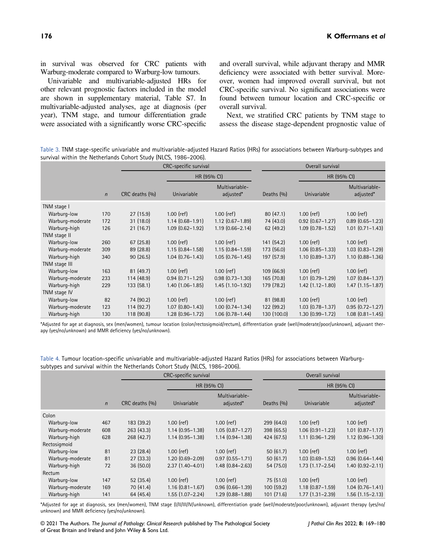in survival was observed for CRC patients with Warburg-moderate compared to Warburg-low tumours.

Univariable and multivariable-adjusted HRs for other relevant prognostic factors included in the model are shown in supplementary material, Table S7. In multivariable-adjusted analyses, age at diagnosis (per year), TNM stage, and tumour differentiation grade were associated with a significantly worse CRC-specific and overall survival, while adjuvant therapy and MMR deficiency were associated with better survival. Moreover, women had improved overall survival, but not CRC-specific survival. No significant associations were found between tumour location and CRC-specific or overall survival.

Next, we stratified CRC patients by TNM stage to assess the disease stage-dependent prognostic value of

Table 3. TNM stage-specific univariable and multivariable-adjusted Hazard Ratios (HRs) for associations between Warburg-subtypes and survival within the Netherlands Cohort Study (NLCS, 1986–2006).

|                  |              | CRC-specific survival |                     |                             | Overall survival |                        |                             |
|------------------|--------------|-----------------------|---------------------|-----------------------------|------------------|------------------------|-----------------------------|
|                  |              |                       | HR (95% CI)         |                             |                  | HR (95% CI)            |                             |
|                  | $\mathsf{n}$ | CRC deaths (%)        | Univariable         | Multivariable-<br>adjusted* | Deaths $(%)$     | Univariable            | Multivariable-<br>adjusted* |
| TNM stage I      |              |                       |                     |                             |                  |                        |                             |
| Warburg-low      | 170          | 27(15.9)              | $1.00$ (ref)        | $1.00$ (ref)                | 80(47.1)         | $1.00$ (ref)           | $1.00$ (ref)                |
| Warburg-moderate | 172          | 31(18.0)              | $1.14(0.68 - 1.91)$ | $1.12(0.67 - 1.89)$         | 74 (43.0)        | $0.92$ (0.67-1.27)     | $0.89$ $(0.65 - 1.23)$      |
| Warburg-high     | 126          | 21(16.7)              | $1.09(0.62 - 1.92)$ | $1.19(0.66 - 2.14)$         | 62(49.2)         | $1.09$ $(0.78 - 1.52)$ | $1.01$ $(0.71 - 1.43)$      |
| TNM stage II     |              |                       |                     |                             |                  |                        |                             |
| Warburg-low      | 260          | 67(25.8)              | $1.00$ (ref)        | $1.00$ (ref)                | 141 (54.2)       | $1.00$ (ref)           | $1.00$ (ref)                |
| Warburg-moderate | 309          | 89(28.8)              | $1.15(0.84 - 1.58)$ | $1.15(0.84 - 1.59)$         | 173 (56.0)       | $1.06(0.85 - 1.33)$    | $1.03$ $(0.83 - 1.29)$      |
| Warburg-high     | 340          | 90(26.5)              | $1.04(0.76 - 1.43)$ | $1.05(0.76 - 1.45)$         | 197 (57.9)       | $1.10(0.89 - 1.37)$    | $1.10(0.88 - 1.36)$         |
| TNM stage III    |              |                       |                     |                             |                  |                        |                             |
| Warburg-low      | 163          | 81(49.7)              | $1.00$ (ref)        | $1.00$ (ref)                | 109(66.9)        | $1.00$ (ref)           | $1.00$ (ref)                |
| Warburg-moderate | 233          | 114(48.9)             | $0.94(0.71 - 1.25)$ | $0.98(0.73 - 1.30)$         | 165(70.8)        | $1.01(0.79 - 1.29)$    | $1.07(0.84 - 1.37)$         |
| Warburg-high     | 229          | 133(58.1)             | $1.40(1.06 - 1.85)$ | $1.45(1.10-1.92)$           | 179 (78.2)       | $1.42$ (1.12-1.80)     | $1.47(1.15 - 1.87)$         |
| TNM stage IV     |              |                       |                     |                             |                  |                        |                             |
| Warburg-low      | 82           | 74 (90.2)             | $1.00$ (ref)        | $1.00$ (ref)                | 81(98.8)         | $1.00$ (ref)           | $1.00$ (ref)                |
| Warburg-moderate | 123          | 114(92.7)             | $1.07(0.80 - 1.43)$ | $1.00(0.74 - 1.34)$         | 122 (99.2)       | $1.03(0.78 - 1.37)$    | $0.95(0.72 - 1.27)$         |
| Warburg-high     | 130          | 118 (90.8)            | $1.28(0.96 - 1.72)$ | $1.06(0.78 - 1.44)$         | 130 (100.0)      | $1.30(0.99 - 1.72)$    | $1.08$ $(0.81 - 1.45)$      |

\*Adjusted for age at diagnosis, sex (men/women), tumour location (colon/rectosigmoid/rectum), differentiation grade (well/moderate/poor/unknown), adjuvant therapy (yes/no/unknown) and MMR deficiency (yes/no/unknown).

Table 4. Tumour location-specific univariable and multivariable-adjusted Hazard Ratios (HRs) for associations between Warburgsubtypes and survival within the Netherlands Cohort Study (NLCS, 1986–2006).

|                  |              | CRC-specific survival |                     |                             | Overall survival |                     |                             |  |
|------------------|--------------|-----------------------|---------------------|-----------------------------|------------------|---------------------|-----------------------------|--|
|                  |              |                       | HR (95% CI)         |                             |                  | HR (95% CI)         |                             |  |
|                  | $\mathsf{n}$ | CRC deaths (%)        | Univariable         | Multivariable-<br>adjusted* | Deaths $(9)$     | Univariable         | Multivariable-<br>adjusted* |  |
| Colon            |              |                       |                     |                             |                  |                     |                             |  |
| Warburg-low      | 467          | 183 (39.2)            | $1.00$ (ref)        | $1.00$ (ref)                | 299 (64.0)       | $1.00$ (ref)        | $1.00$ (ref)                |  |
| Warburg-moderate | 608          | 263 (43.3)            | $1.14(0.95 - 1.38)$ | $1.05(0.87 - 1.27)$         | 398(65.5)        | $1.06(0.91 - 1.23)$ | $1.01$ $(0.87 - 1.17)$      |  |
| Warburg-high     | 628          | 268(42.7)             | $1.14(0.95 - 1.38)$ | $1.14(0.94 - 1.38)$         | 424(67.5)        | $1.11(0.96 - 1.29)$ | $1.12$ $(0.96 - 1.30)$      |  |
| Rectosigmoid     |              |                       |                     |                             |                  |                     |                             |  |
| Warburg-low      | 81           | 23(28.4)              | $1.00$ (ref)        | $1.00$ (ref)                | 50(61.7)         | $1.00$ (ref)        | $1.00$ (ref)                |  |
| Warburg-moderate | 81           | 27(33.3)              | $1.20(0.69 - 2.09)$ | $0.97(0.55 - 1.71)$         | 50(61.7)         | $1.03(0.69 - 1.52)$ | $0.96(0.64 - 1.44)$         |  |
| Warburg-high     | 72           | 36(50.0)              | $2.37(1.40-4.01)$   | $1.48(0.84 - 2.63)$         | 54 (75.0)        | $1.73(1.17 - 2.54)$ | $1.40(0.92 - 2.11)$         |  |
| Rectum           |              |                       |                     |                             |                  |                     |                             |  |
| Warburg-low      | 147          | 52(35.4)              | $1.00$ (ref)        | $1.00$ (ref)                | 75 (51.0)        | $1.00$ (ref)        | $1.00$ (ref)                |  |
| Warburg-moderate | 169          | 70(41.4)              | $1.16(0.81 - 1.67)$ | $0.96(0.66 - 1.39)$         | 100(59.2)        | $1.18(0.87 - 1.59)$ | $1.04(0.76 - 1.41)$         |  |
| Warburg-high     | 141          | 64 (45.4)             | $1.55(1.07 - 2.24)$ | $1.29(0.88 - 1.88)$         | 101(71.6)        | $1.77(1.31 - 2.39)$ | $1.56$ $(1.15 - 2.13)$      |  |

\*Adjusted for age at diagnosis, sex (men/women), TNM stage (I/II/III/IV/unknown), differentiation grade (well/moderate/poor/unknown), adjuvant therapy (yes/no/ unknown) and MMR deficiency (yes/no/unknown).

© 2021 The Authors. The Journal of Pathology: Clinical Research published by The Pathological Society of Great Britain and Ireland and John Wiley & Sons Ltd.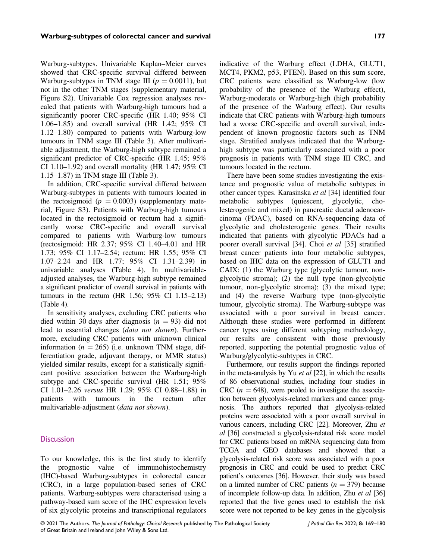Warburg-subtypes. Univariable Kaplan–Meier curves showed that CRC-specific survival differed between Warburg-subtypes in TNM stage III ( $p = 0.0011$ ), but not in the other TNM stages (supplementary material, Figure S2). Univariable Cox regression analyses revealed that patients with Warburg-high tumours had a significantly poorer CRC-specific (HR 1.40; 95% CI 1.06–1.85) and overall survival (HR 1.42; 95% CI 1.12–1.80) compared to patients with Warburg-low tumours in TNM stage III (Table 3). After multivariable adjustment, the Warburg-high subtype remained a significant predictor of CRC-specific (HR 1.45; 95% CI 1.10–1.92) and overall mortality (HR 1.47; 95% CI 1.15–1.87) in TNM stage III (Table 3).

In addition, CRC-specific survival differed between Warburg-subtypes in patients with tumours located in the rectosigmoid ( $p = 0.0003$ ) (supplementary material, Figure S3). Patients with Warburg-high tumours located in the rectosigmoid or rectum had a significantly worse CRC-specific and overall survival compared to patients with Warburg-low tumours (rectosigmoid: HR 2.37; 95% CI 1.40–4.01 and HR 1.73; 95% CI 1.17–2.54; rectum: HR 1.55; 95% CI 1.07–2.24 and HR 1.77; 95% CI 1.31–2.39) in univariable analyses (Table 4). In multivariableadjusted analyses, the Warburg-high subtype remained a significant predictor of overall survival in patients with tumours in the rectum (HR 1.56; 95% CI 1.15–2.13) (Table 4).

In sensitivity analyses, excluding CRC patients who died within 30 days after diagnosis  $(n = 93)$  did not lead to essential changes (data not shown). Furthermore, excluding CRC patients with unknown clinical information ( $n = 265$ ) (i.e. unknown TNM stage, differentiation grade, adjuvant therapy, or MMR status) yielded similar results, except for a statistically significant positive association between the Warburg-high subtype and CRC-specific survival (HR 1.51; 95% CI 1.01–2.26 versus HR 1.29; 95% CI 0.88–1.88) in patients with tumours in the rectum after multivariable-adjustment (data not shown).

#### **Discussion**

To our knowledge, this is the first study to identify the prognostic value of immunohistochemistry (IHC)-based Warburg-subtypes in colorectal cancer (CRC), in a large population-based series of CRC patients. Warburg-subtypes were characterised using a pathway-based sum score of the IHC expression levels of six glycolytic proteins and transcriptional regulators

indicative of the Warburg effect (LDHA, GLUT1, MCT4, PKM2, p53, PTEN). Based on this sum score, CRC patients were classified as Warburg-low (low probability of the presence of the Warburg effect), Warburg-moderate or Warburg-high (high probability of the presence of the Warburg effect). Our results indicate that CRC patients with Warburg-high tumours had a worse CRC-specific and overall survival, independent of known prognostic factors such as TNM stage. Stratified analyses indicated that the Warburghigh subtype was particularly associated with a poor prognosis in patients with TNM stage III CRC, and tumours located in the rectum.

There have been some studies investigating the existence and prognostic value of metabolic subtypes in other cancer types. Karasinska et al [34] identified four metabolic subtypes (quiescent, glycolytic, cholesterogenic and mixed) in pancreatic ductal adenocarcinoma (PDAC), based on RNA-sequencing data of glycolytic and cholesterogenic genes. Their results indicated that patients with glycolytic PDACs had a poorer overall survival [34]. Choi et al [35] stratified breast cancer patients into four metabolic subtypes, based on IHC data on the expression of GLUT1 and CAIX: (1) the Warburg type (glycolytic tumour, nonglycolytic stroma); (2) the null type (non-glycolytic tumour, non-glycolytic stroma); (3) the mixed type; and (4) the reverse Warburg type (non-glycolytic tumour, glycolytic stroma). The Warburg-subtype was associated with a poor survival in breast cancer. Although these studies were performed in different cancer types using different subtyping methodology, our results are consistent with those previously reported, supporting the potential prognostic value of Warburg/glycolytic-subtypes in CRC.

Furthermore, our results support the findings reported in the meta-analysis by Yu et al [22], in which the results of 86 observational studies, including four studies in CRC ( $n = 648$ ), were pooled to investigate the association between glycolysis-related markers and cancer prognosis. The authors reported that glycolysis-related proteins were associated with a poor overall survival in various cancers, including CRC [22]. Moreover, Zhu et al [36] constructed a glycolysis-related risk score model for CRC patients based on mRNA sequencing data from TCGA and GEO databases and showed that a glycolysis-related risk score was associated with a poor prognosis in CRC and could be used to predict CRC patient's outcomes [36]. However, their study was based on a limited number of CRC patients ( $n = 379$ ) because of incomplete follow-up data. In addition, Zhu et al [36] reported that the five genes used to establish the risk score were not reported to be key genes in the glycolysis

© 2021 The Authors. The Journal of Pathology: Clinical Research published by The Pathological Society of Great Britain and Ireland and John Wiley & Sons Ltd.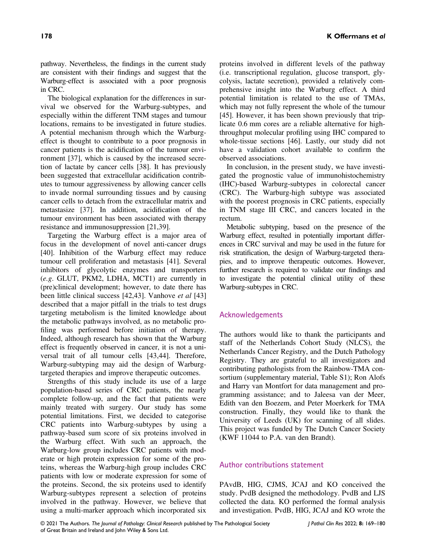pathway. Nevertheless, the findings in the current study are consistent with their findings and suggest that the Warburg-effect is associated with a poor prognosis in CRC.

The biological explanation for the differences in survival we observed for the Warburg-subtypes, and especially within the different TNM stages and tumour locations, remains to be investigated in future studies. A potential mechanism through which the Warburgeffect is thought to contribute to a poor prognosis in cancer patients is the acidification of the tumour environment [37], which is caused by the increased secretion of lactate by cancer cells [38]. It has previously been suggested that extracellular acidification contributes to tumour aggressiveness by allowing cancer cells to invade normal surrounding tissues and by causing cancer cells to detach from the extracellular matrix and metastasize [37]. In addition, acidification of the tumour environment has been associated with therapy resistance and immunosuppression [21,39].

Targeting the Warburg effect is a major area of focus in the development of novel anti-cancer drugs [40]. Inhibition of the Warburg effect may reduce tumour cell proliferation and metastasis [41]. Several inhibitors of glycolytic enzymes and transporters (e.g. GLUT, PKM2, LDHA, MCT1) are currently in (pre)clinical development; however, to date there has been little clinical success [42,43]. Vanhove et al [43] described that a major pitfall in the trials to test drugs targeting metabolism is the limited knowledge about the metabolic pathways involved, as no metabolic profiling was performed before initiation of therapy. Indeed, although research has shown that the Warburg effect is frequently observed in cancer, it is not a universal trait of all tumour cells [43,44]. Therefore, Warburg-subtyping may aid the design of Warburgtargeted therapies and improve therapeutic outcomes.

Strengths of this study include its use of a large population-based series of CRC patients, the nearly complete follow-up, and the fact that patients were mainly treated with surgery. Our study has some potential limitations. First, we decided to categorise CRC patients into Warburg-subtypes by using a pathway-based sum score of six proteins involved in the Warburg effect. With such an approach, the Warburg-low group includes CRC patients with moderate or high protein expression for some of the proteins, whereas the Warburg-high group includes CRC patients with low or moderate expression for some of the proteins. Second, the six proteins used to identify Warburg-subtypes represent a selection of proteins involved in the pathway. However, we believe that using a multi-marker approach which incorporated six

proteins involved in different levels of the pathway (i.e. transcriptional regulation, glucose transport, glycolysis, lactate secretion), provided a relatively comprehensive insight into the Warburg effect. A third potential limitation is related to the use of TMAs, which may not fully represent the whole of the tumour [45]. However, it has been shown previously that triplicate 0.6 mm cores are a reliable alternative for highthroughput molecular profiling using IHC compared to whole-tissue sections [46]. Lastly, our study did not have a validation cohort available to confirm the observed associations.

In conclusion, in the present study, we have investigated the prognostic value of immunohistochemistry (IHC)-based Warburg-subtypes in colorectal cancer (CRC). The Warburg-high subtype was associated with the poorest prognosis in CRC patients, especially in TNM stage III CRC, and cancers located in the rectum.

Metabolic subtyping, based on the presence of the Warburg effect, resulted in potentially important differences in CRC survival and may be used in the future for risk stratification, the design of Warburg-targeted therapies, and to improve therapeutic outcomes. However, further research is required to validate our findings and to investigate the potential clinical utility of these Warburg-subtypes in CRC.

#### Acknowledgements

The authors would like to thank the participants and staff of the Netherlands Cohort Study (NLCS), the Netherlands Cancer Registry, and the Dutch Pathology Registry. They are grateful to all investigators and contributing pathologists from the Rainbow-TMA consortium (supplementary material, Table S1); Ron Alofs and Harry van Montfort for data management and programming assistance; and to Jaleesa van der Meer, Edith van den Boezem, and Peter Moerkerk for TMA construction. Finally, they would like to thank the University of Leeds (UK) for scanning of all slides. This project was funded by The Dutch Cancer Society (KWF 11044 to P.A. van den Brandt).

#### Author contributions statement

PAvdB, HIG, CJMS, JCAJ and KO conceived the study. PvdB designed the methodology. PvdB and LJS collected the data. KO performed the formal analysis and investigation. PvdB, HIG, JCAJ and KO wrote the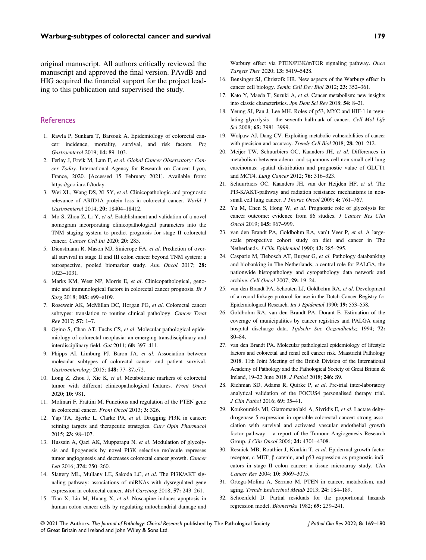original manuscript. All authors critically reviewed the manuscript and approved the final version. PAvdB and HIG acquired the financial support for the project leading to this publication and supervised the study.

#### References

- 1. Rawla P, Sunkara T, Barsouk A. Epidemiology of colorectal cancer: incidence, mortality, survival, and risk factors. Prz Gastroenterol 2019; 14: <sup>89</sup>–103.
- 2. Ferlay J, Ervik M, Lam F, et al. Global Cancer Observatory: Cancer Today. International Agency for Research on Cancer: Lyon, France, 2020. [Accessed 15 February 2021]. Available from: <https://gco.iarc.fr/today>.
- 3. Wei XL, Wang DS, Xi SY, et al. Clinicopathologic and prognostic relevance of ARID1A protein loss in colorectal cancer. World J Gastroenterol 2014; 20: <sup>18404</sup>–18412.
- 4. Mo S, Zhou Z, Li Y, et al. Establishment and validation of a novel nomogram incorporating clinicopathological parameters into the TNM staging system to predict prognosis for stage II colorectal cancer. Cancer Cell Int 2020; 20: 285.
- 5. Dienstmann R, Mason MJ, Sinicrope FA, et al. Prediction of overall survival in stage II and III colon cancer beyond TNM system: a retrospective, pooled biomarker study. Ann Oncol 2017; 28: 1023–1031.
- 6. Marks KM, West NP, Morris E, et al. Clinicopathological, genomic and immunological factors in colorectal cancer prognosis. Br J Surg 2018; 105: e99-e109.
- 7. Roseweir AK, McMillan DC, Horgan PG, et al. Colorectal cancer subtypes: translation to routine clinical pathology. Cancer Treat Rev 2017; 57: <sup>1</sup>–7.
- 8. Ogino S, Chan AT, Fuchs CS, et al. Molecular pathological epidemiology of colorectal neoplasia: an emerging transdisciplinary and interdisciplinary field. Gut 2011; 60: <sup>397</sup>–411.
- 9. Phipps AI, Limburg PJ, Baron JA, et al. Association between molecular subtypes of colorectal cancer and patient survival. Gastroenterology 2015; 148: <sup>77</sup>–87.e72.
- 10. Long Z, Zhou J, Xie K, et al. Metabolomic markers of colorectal tumor with different clinicopathological features. Front Oncol 2020; 10: 981.
- 11. Molinari F, Frattini M. Functions and regulation of the PTEN gene in colorectal cancer. Front Oncol 2013; 3: 326.
- 12. Yap TA, Bjerke L, Clarke PA, et al. Drugging PI3K in cancer: refining targets and therapeutic strategies. Curr Opin Pharmacol 2015; 23: <sup>98</sup>–107.
- 13. Hussain A, Qazi AK, Mupparapu N, et al. Modulation of glycolysis and lipogenesis by novel PI3K selective molecule represses tumor angiogenesis and decreases colorectal cancer growth. Cancer Lett 2016; 374: <sup>250</sup>–260.
- 14. Slattery ML, Mullany LE, Sakoda LC, et al. The PI3K/AKT signaling pathway: associations of miRNAs with dysregulated gene expression in colorectal cancer. Mol Carcinog 2018; 57: <sup>243</sup>–261.
- 15. Tian X, Liu M, Huang X, et al. Noscapine induces apoptosis in human colon cancer cells by regulating mitochondrial damage and

Warburg effect via PTEN/PI3K/mTOR signaling pathway. Onco Targets Ther 2020; 13: <sup>5419</sup>–5428.

- 16. Bensinger SJ, Christofk HR. New aspects of the Warburg effect in cancer cell biology. Semin Cell Dev Biol 2012; 23: <sup>352</sup>–361.
- 17. Kato Y, Maeda T, Suzuki A, et al. Cancer metabolism: new insights into classic characteristics. Jpn Dent Sci Rev 2018; 54: <sup>8</sup>–21.
- 18. Yeung SJ, Pan J, Lee MH. Roles of p53, MYC and HIF-1 in regulating glycolysis - the seventh hallmark of cancer. Cell Mol Life Sci 2008: **65:** 3981-3999.
- 19. Wolpaw AJ, Dang CV. Exploiting metabolic vulnerabilities of cancer with precision and accuracy. Trends Cell Biol 2018; 28: <sup>201</sup>–212.
- 20. Meijer TW, Schuurbiers OC, Kaanders JH, et al. Differences in metabolism between adeno- and squamous cell non-small cell lung carcinomas: spatial distribution and prognostic value of GLUT1 and MCT4. Lung Cancer 2012; 76: <sup>316</sup>–323.
- 21. Schuurbiers OC, Kaanders JH, van der Heijden HF, et al. The PI3-K/AKT-pathway and radiation resistance mechanisms in nonsmall cell lung cancer. *J Thorac Oncol* 2009; 4: 761-767.
- 22. Yu M, Chen S, Hong W, et al. Prognostic role of glycolysis for cancer outcome: evidence from 86 studies. J Cancer Res Clin Oncol 2019; 145: <sup>967</sup>–999.
- 23. van den Brandt PA, Goldbohm RA, van't Veer P, et al. A largescale prospective cohort study on diet and cancer in The Netherlands. J Clin Epidemiol 1990; 43: <sup>285</sup>–295.
- 24. Casparie M, Tiebosch AT, Burger G, et al. Pathology databanking and biobanking in The Netherlands, a central role for PALGA, the nationwide histopathology and cytopathology data network and archive. Cell Oncol 2007; 29: <sup>19</sup>–24.
- 25. van den Brandt PA, Schouten LJ, Goldbohm RA, et al. Development of a record linkage protocol for use in the Dutch Cancer Registry for Epidemiological Research. Int J Epidemiol 1990; 19: <sup>553</sup>–558.
- 26. Goldbohm RA, van den Brandt PA, Dorant E. Estimation of the coverage of municipalities by cancer registries and PALGA using hospital discharge data. Tijdschr Soc Gezondheidsz 1994; 72: 80–84.
- 27. van den Brandt PA. Molecular pathological epidemiology of lifestyle factors and colorectal and renal cell cancer risk. Maastricht Pathology 2018. 11th Joint Meeting of the British Division of the International Academy of Pathology and the Pathological Society of Great Britain & Ireland, 19–22 June 2018. J Pathol 2018; 246: S9.
- 28. Richman SD, Adams R, Quirke P, et al. Pre-trial inter-laboratory analytical validation of the FOCUS4 personalised therapy trial. J Clin Pathol 2016; 69: <sup>35</sup>–41.
- 29. Koukourakis MI, Giatromanolaki A, Sivridis E, et al. Lactate dehydrogenase 5 expression in operable colorectal cancer: strong association with survival and activated vascular endothelial growth factor pathway – a report of the Tumour Angiogenesis Research Group. J Clin Oncol 2006; 24: <sup>4301</sup>–4308.
- 30. Resnick MB, Routhier J, Konkin T, et al. Epidermal growth factor receptor, c-MET, β-catenin, and p53 expression as prognostic indicators in stage II colon cancer: a tissue microarray study. Clin Cancer Res 2004; 10: <sup>3069</sup>–3075.
- 31. Ortega-Molina A, Serrano M. PTEN in cancer, metabolism, and aging. Trends Endocrinol Metab 2013; 24: <sup>184</sup>–189.
- 32. Schoenfeld D. Partial residuals for the proportional hazards regression model. Biometrika 1982; 69: <sup>239</sup>–241.